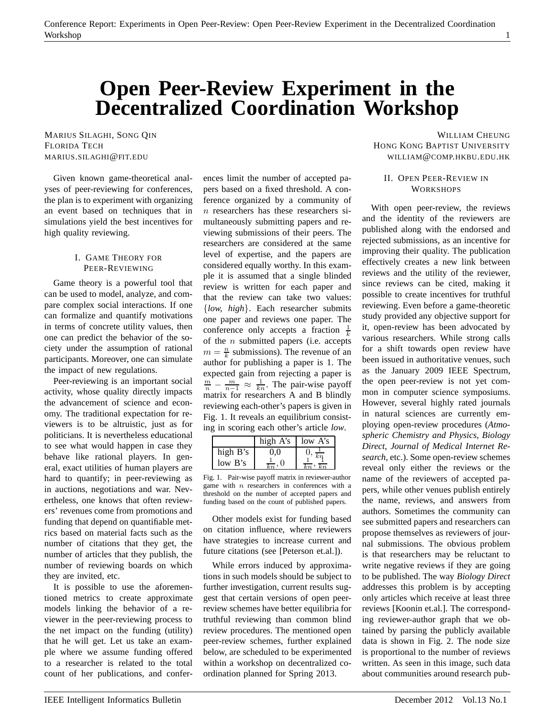# **Open Peer-Review Experiment in the Decentralized Coordination Workshop**

Given known game-theoretical analyses of peer-reviewing for conferences, the plan is to experiment with organizing an event based on techniques that in simulations yield the best incentives for high quality reviewing.

#### I. GAME THEORY FOR PEER-REVIEWING

Game theory is a powerful tool that can be used to model, analyze, and compare complex social interactions. If one can formalize and quantify motivations in terms of concrete utility values, then one can predict the behavior of the society under the assumption of rational participants. Moreover, one can simulate the impact of new regulations.

Peer-reviewing is an important social activity, whose quality directly impacts the advancement of science and economy. The traditional expectation for reviewers is to be altruistic, just as for politicians. It is nevertheless educational to see what would happen in case they behave like rational players. In general, exact utilities of human players are hard to quantify; in peer-reviewing as in auctions, negotiations and war. Nevertheless, one knows that often reviewers' revenues come from promotions and funding that depend on quantifiable metrics based on material facts such as the number of citations that they get, the number of articles that they publish, the number of reviewing boards on which they are invited, etc.

It is possible to use the aforementioned metrics to create approximate models linking the behavior of a reviewer in the peer-reviewing process to the net impact on the funding (utility) that he will get. Let us take an example where we assume funding offered to a researcher is related to the total count of her publications, and conferences limit the number of accepted papers based on a fixed threshold. A conference organized by a community of n researchers has these researchers simultaneously submitting papers and reviewing submissions of their peers. The researchers are considered at the same level of expertise, and the papers are considered equally worthy. In this example it is assumed that a single blinded review is written for each paper and that the review can take two values: {*low, high*}. Each researcher submits one paper and reviews one paper. The conference only accepts a fraction  $\frac{1}{k}$ of the  $n$  submitted papers (i.e. accepts  $m = \frac{n}{k}$  submissions). The revenue of an author for publishing a paper is 1. The expected gain from rejecting a paper is  $\frac{m}{n} - \frac{m}{n-1} \approx \frac{1}{kn}$ . The pair-wise payoff matrix for researchers A and B blindly reviewing each-other's papers is given in Fig. 1. It reveals an equilibrium consisting in scoring each other's article *low*.

|                       | high A's                 | low A's |
|-----------------------|--------------------------|---------|
| high B's              | ') ()                    |         |
| $low \, \mathrm{B's}$ | $\overline{\phantom{0}}$ |         |

Fig. 1. Pair-wise payoff matrix in reviewer-author game with  $n$  researchers in conferences with a threshold on the number of accepted papers and funding based on the count of published papers.

Other models exist for funding based on citation influence, where reviewers have strategies to increase current and future citations (see [Peterson et.al.]).

While errors induced by approximations in such models should be subject to further investigation, current results suggest that certain versions of open peerreview schemes have better equilibria for truthful reviewing than common blind review procedures. The mentioned open peer-review schemes, further explained below, are scheduled to be experimented within a workshop on decentralized coordination planned for Spring 2013.

MARIUS SILAGHI, SONG QIN WILLIAM CHEUNG FLORIDA TECH GEORALD SUBSEXUAL SUBSEXUAL SUBSEXUAL DESCRIPTION HONG KONG BAPTIST UNIVERSITY MARIUS.SILAGHI@FIT.EDU WILLIAM@COMP.HKBU.EDU.HK

### II. OPEN PEER-REVIEW IN **WORKSHOPS**

With open peer-review, the reviews and the identity of the reviewers are published along with the endorsed and rejected submissions, as an incentive for improving their quality. The publication effectively creates a new link between reviews and the utility of the reviewer, since reviews can be cited, making it possible to create incentives for truthful reviewing. Even before a game-theoretic study provided any objective support for it, open-review has been advocated by various researchers. While strong calls for a shift towards open review have been issued in authoritative venues, such as the January 2009 IEEE Spectrum, the open peer-review is not yet common in computer science symposiums. However, several highly rated journals in natural sciences are currently employing open-review procedures (*Atmospheric Chemistry and Physics*, *Biology Direct*, *Journal of Medical Internet Research*, etc.). Some open-review schemes reveal only either the reviews or the name of the reviewers of accepted papers, while other venues publish entirely the name, reviews, and answers from authors. Sometimes the community can see submitted papers and researchers can propose themselves as reviewers of journal submissions. The obvious problem is that researchers may be reluctant to write negative reviews if they are going to be published. The way *Biology Direct* addresses this problem is by accepting only articles which receive at least three reviews [Koonin et.al.]. The corresponding reviewer-author graph that we obtained by parsing the publicly available data is shown in Fig. 2. The node size is proportional to the number of reviews written. As seen in this image, such data about communities around research pub